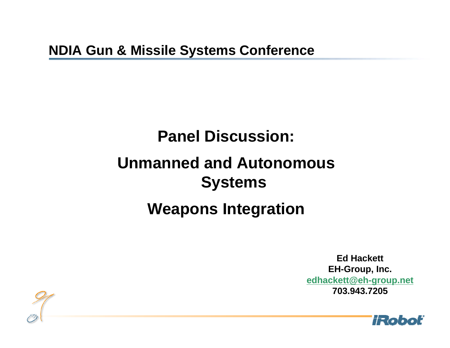# **Panel Discussion:**

## **Unmanned and Autonomous Systems**

## **Weapons Integration**

**Ed HackettEH-Group, Inc. [edhackett@eh-group.net](mailto:edhackett@eh-group.net) 703.943.7205**



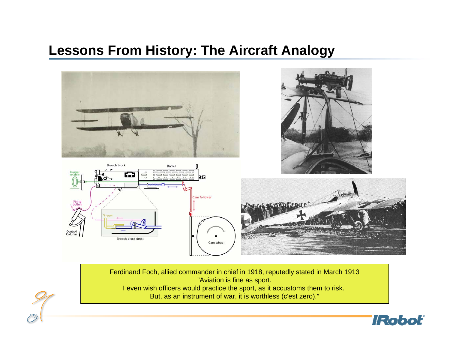

Ferdinand Foch, allied commander in chief in 1918, reputedly stated in March 1913 "Aviation is fine as sport. I even wish officers would practice the sport, as it accustoms them to risk.

But, as an instrument of war, it is worthless (c'est zero)."

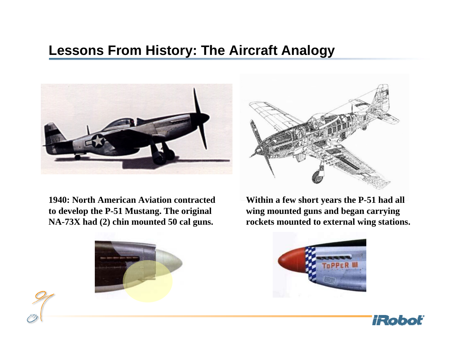

**1940: North American Aviation contracted to develop the P-51 Mustang. The original NA-73X had (2) chin mounted 50 cal guns.**



**Within a few short years the P-51 had all wing mounted guns and began carrying rockets mounted to external wing stations.**





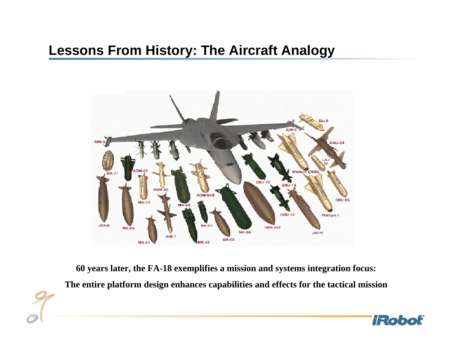

**60 years later, the FA-18 exemplifies a mission and systems integration focus: The entire platform design enhances capabilities and effects for the tactical mission**

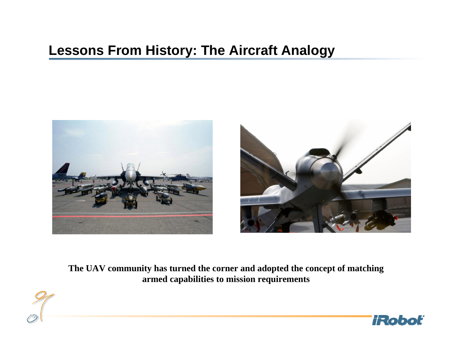



**The UAV community has turned the corner and adopted the concept of matching armed capabilities to mission requirements**

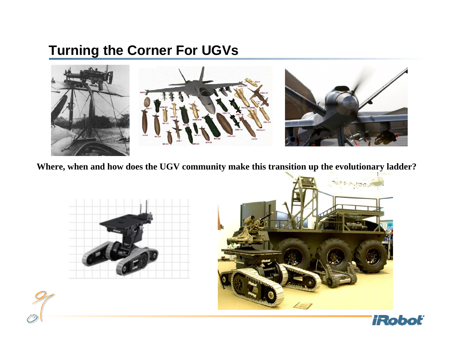### **Turning the Corner For UGVs**



**Where, when and how does the UGV community make this transition up the evolutionary ladder?**





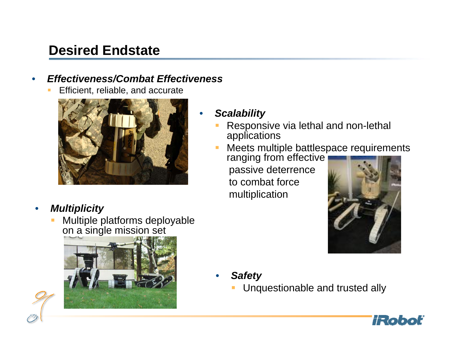### **Desired Endstate**

#### •*Effectiveness/Combat Effectiveness*

Efficient, reliable, and accurate



#### •*Multiplicity*

L. Multiple platforms deployable on a single mission set



#### *Scalability*

•

- Responsive via lethal and non-lethal applications
- Meets multiple battlespace requirements

ranging from effective passive deterrence to combat force multiplication



- • *Safety*
	- Unquestionable and trusted ally